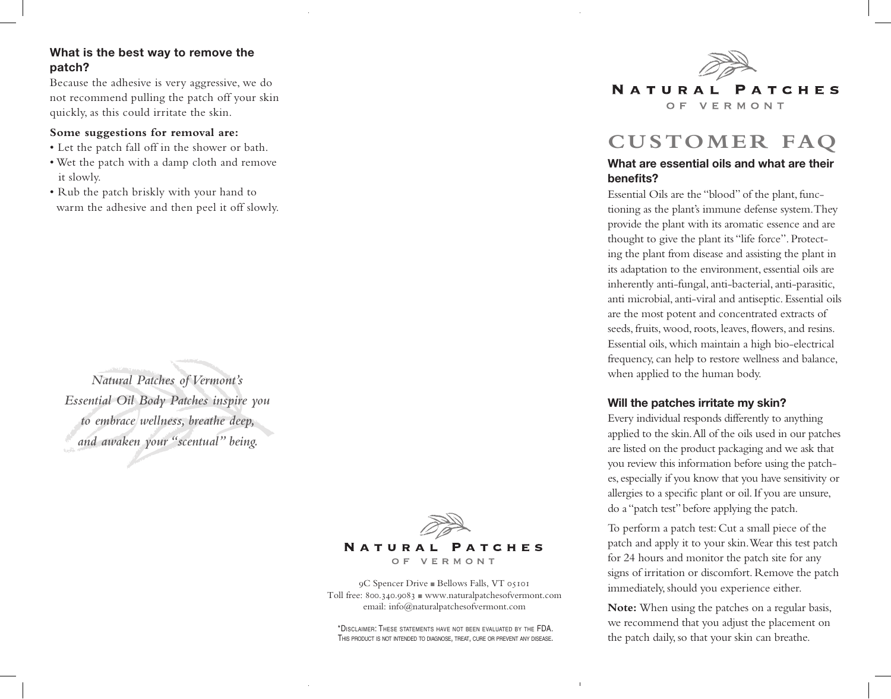# **What is the best way to remove the patch?**

Because the adhesive is very aggressive, we do not recommend pulling the patch off your skin quickly, as this could irritate the skin.

#### **Some suggestions for removal are:**

- Let the patch fall off in the shower or bath.
- Wet the patch with a damp cloth and remove it slowly.
- Rub the patch briskly with your hand to warm the adhesive and then peel it off slowly.

*Natural Patches of Vermont's Essential Oil Body Patches inspire you to embrace wellness, breathe deep, and awaken your "scentual" being.*



O F VERMONT

9C Spencer Drive <sup>n</sup> Bellows Falls, VT 05101 Toll free:  $800.340.9083$  www.naturalpatchesofvermont.com email: info@naturalpatchesofvermont.com

\*Disclaimer: These statements have not been evaluated by the FDA. This product is not intended to diagnose, treat, cure or prevent any disease.



# **CUSTOMER FAQ**

#### **What are essential oils and what are their benefits?**

Essential Oils are the "blood" of the plant, functioning as the plant's immune defense system. They provide the plant with its aromatic essence and are thought to give the plant its "life force". Protecting the plant from disease and assisting the plant in its adaptation to the environment, essential oils are inherently anti-fungal, anti-bacterial, anti-parasitic, anti microbial, anti-viral and antiseptic. Essential oils are the most potent and concentrated extracts of seeds, fruits, wood, roots, leaves, flowers, and resins. Essential oils, which maintain a high bio-electrical frequency, can help to restore wellness and balance, when applied to the human body.

#### **Will the patches irritate my skin?**

Every individual responds differently to anything applied to the skin. All of the oils used in our patches are listed on the product packaging and we ask that you review this information before using the patches, especially if you know that you have sensitivity or allergies to a specific plant or oil. If you are unsure, do a "patch test" before applying the patch.

To perform a patch test: Cut a small piece of the patch and apply it to your skin. Wear this test patch for 24 hours and monitor the patch site for any signs of irritation or discomfort. Remove the patch immediately, should you experience either.

**Note:** When using the patches on a regular basis, we recommend that you adjust the placement on the patch daily, so that your skin can breathe.